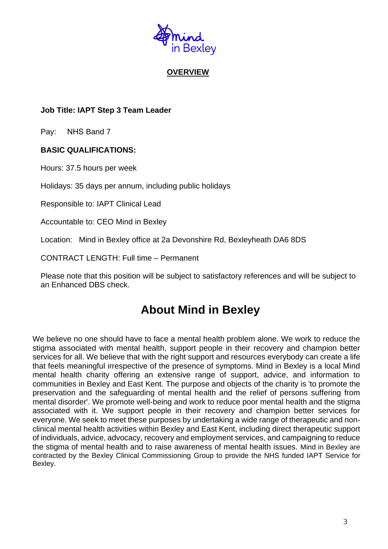

# **OVERVIEW**

# **Job Title: IAPT Step 3 Team Leader**

Pay: NHS Band 7

# **BASIC QUALIFICATIONS:**

Hours: 37.5 hours per week

Holidays: 35 days per annum, including public holidays

Responsible to: IAPT Clinical Lead

Accountable to: CEO Mind in Bexley

Location: Mind in Bexley office at 2a Devonshire Rd, Bexleyheath DA6 8DS

CONTRACT LENGTH: Full time – Permanent

Please note that this position will be subject to satisfactory references and will be subject to an Enhanced DBS check.

# **About Mind in Bexley**

We believe no one should have to face a mental health problem alone. We work to reduce the stigma associated with mental health, support people in their recovery and champion better services for all. We believe that with the right support and resources everybody can create a life that feels meaningful irrespective of the presence of symptoms. Mind in Bexley is a local Mind mental health charity offering an extensive range of support, advice, and information to communities in Bexley and East Kent. The purpose and objects of the charity is 'to promote the preservation and the safeguarding of mental health and the relief of persons suffering from mental disorder'. We promote well-being and work to reduce poor mental health and the stigma associated with it. We support people in their recovery and champion better services for everyone. We seek to meet these purposes by undertaking a wide range of therapeutic and nonclinical mental health activities within Bexley and East Kent, including direct therapeutic support of individuals, advice, advocacy, recovery and employment services, and campaigning to reduce the stigma of mental health and to raise awareness of mental health issues. Mind in Bexley are contracted by the Bexley Clinical Commissioning Group to provide the NHS funded IAPT Service for Bexley.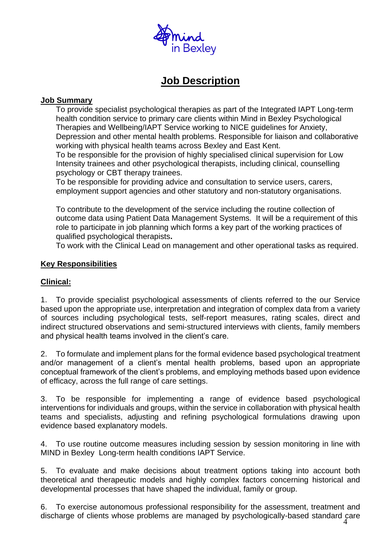

# **Job Description**

# **Job Summary**

To provide specialist psychological therapies as part of the Integrated IAPT Long-term health condition service to primary care clients within Mind in Bexley Psychological Therapies and Wellbeing/IAPT Service working to NICE guidelines for Anxiety, Depression and other mental health problems. Responsible for liaison and collaborative working with physical health teams across Bexley and East Kent.

To be responsible for the provision of highly specialised clinical supervision for Low Intensity trainees and other psychological therapists, including clinical, counselling psychology or CBT therapy trainees.

To be responsible for providing advice and consultation to service users, carers, employment support agencies and other statutory and non-statutory organisations.

To contribute to the development of the service including the routine collection of outcome data using Patient Data Management Systems. It will be a requirement of this role to participate in job planning which forms a key part of the working practices of qualified psychological therapists**.**

To work with the Clinical Lead on management and other operational tasks as required.

# **Key Responsibilities**

# **Clinical:**

1. To provide specialist psychological assessments of clients referred to the our Service based upon the appropriate use, interpretation and integration of complex data from a variety of sources including psychological tests, self-report measures, rating scales, direct and indirect structured observations and semi-structured interviews with clients, family members and physical health teams involved in the client's care.

2. To formulate and implement plans for the formal evidence based psychological treatment and/or management of a client's mental health problems, based upon an appropriate conceptual framework of the client's problems, and employing methods based upon evidence of efficacy, across the full range of care settings.

3. To be responsible for implementing a range of evidence based psychological interventions for individuals and groups, within the service in collaboration with physical health teams and specialists, adjusting and refining psychological formulations drawing upon evidence based explanatory models.

4. To use routine outcome measures including session by session monitoring in line with MIND in Bexley Long-term health conditions IAPT Service.

5. To evaluate and make decisions about treatment options taking into account both theoretical and therapeutic models and highly complex factors concerning historical and developmental processes that have shaped the individual, family or group.

4 6. To exercise autonomous professional responsibility for the assessment, treatment and discharge of clients whose problems are managed by psychologically-based standard care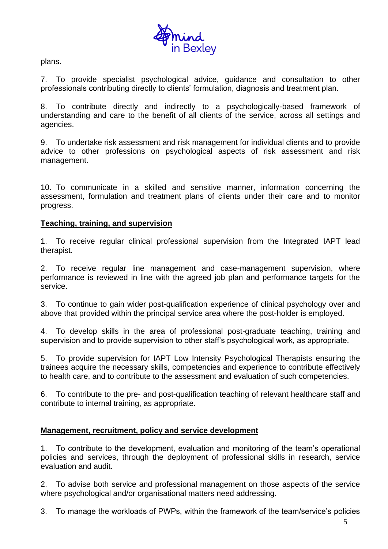

plans.

7. To provide specialist psychological advice, guidance and consultation to other professionals contributing directly to clients' formulation, diagnosis and treatment plan.

8. To contribute directly and indirectly to a psychologically-based framework of understanding and care to the benefit of all clients of the service, across all settings and agencies.

9. To undertake risk assessment and risk management for individual clients and to provide advice to other professions on psychological aspects of risk assessment and risk management.

10. To communicate in a skilled and sensitive manner, information concerning the assessment, formulation and treatment plans of clients under their care and to monitor progress.

## **Teaching, training, and supervision**

1. To receive regular clinical professional supervision from the Integrated IAPT lead therapist.

2. To receive regular line management and case-management supervision, where performance is reviewed in line with the agreed job plan and performance targets for the service.

3. To continue to gain wider post-qualification experience of clinical psychology over and above that provided within the principal service area where the post-holder is employed.

4. To develop skills in the area of professional post-graduate teaching, training and supervision and to provide supervision to other staff's psychological work, as appropriate.

5. To provide supervision for IAPT Low Intensity Psychological Therapists ensuring the trainees acquire the necessary skills, competencies and experience to contribute effectively to health care, and to contribute to the assessment and evaluation of such competencies.

6. To contribute to the pre- and post-qualification teaching of relevant healthcare staff and contribute to internal training, as appropriate.

## **Management, recruitment, policy and service development**

1. To contribute to the development, evaluation and monitoring of the team's operational policies and services, through the deployment of professional skills in research, service evaluation and audit.

2. To advise both service and professional management on those aspects of the service where psychological and/or organisational matters need addressing.

3. To manage the workloads of PWPs, within the framework of the team/service's policies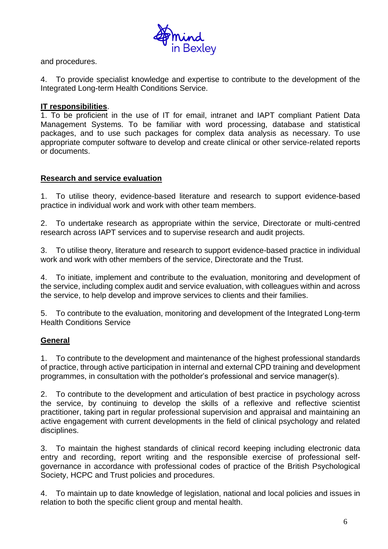

and procedures.

4. To provide specialist knowledge and expertise to contribute to the development of the Integrated Long-term Health Conditions Service.

## **IT responsibilities**.

1. To be proficient in the use of IT for email, intranet and IAPT compliant Patient Data Management Systems. To be familiar with word processing, database and statistical packages, and to use such packages for complex data analysis as necessary. To use appropriate computer software to develop and create clinical or other service-related reports or documents.

## **Research and service evaluation**

1. To utilise theory, evidence-based literature and research to support evidence-based practice in individual work and work with other team members.

2. To undertake research as appropriate within the service, Directorate or multi-centred research across IAPT services and to supervise research and audit projects.

3. To utilise theory, literature and research to support evidence-based practice in individual work and work with other members of the service, Directorate and the Trust.

4. To initiate, implement and contribute to the evaluation, monitoring and development of the service, including complex audit and service evaluation, with colleagues within and across the service, to help develop and improve services to clients and their families.

5. To contribute to the evaluation, monitoring and development of the Integrated Long-term Health Conditions Service

# **General**

1. To contribute to the development and maintenance of the highest professional standards of practice, through active participation in internal and external CPD training and development programmes, in consultation with the potholder's professional and service manager(s).

2. To contribute to the development and articulation of best practice in psychology across the service, by continuing to develop the skills of a reflexive and reflective scientist practitioner, taking part in regular professional supervision and appraisal and maintaining an active engagement with current developments in the field of clinical psychology and related disciplines.

3. To maintain the highest standards of clinical record keeping including electronic data entry and recording, report writing and the responsible exercise of professional selfgovernance in accordance with professional codes of practice of the British Psychological Society, HCPC and Trust policies and procedures.

4. To maintain up to date knowledge of legislation, national and local policies and issues in relation to both the specific client group and mental health.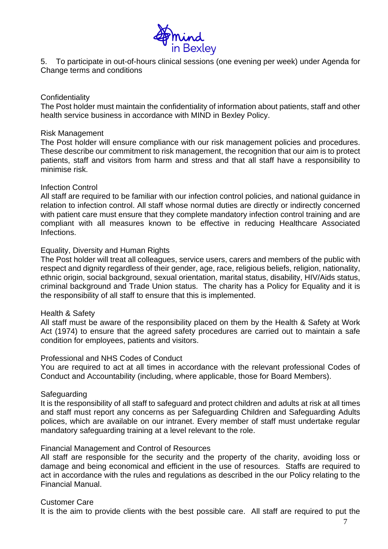

5. To participate in out-of-hours clinical sessions (one evening per week) under Agenda for Change terms and conditions

## **Confidentiality**

The Post holder must maintain the confidentiality of information about patients, staff and other health service business in accordance with MIND in Bexley Policy.

### Risk Management

The Post holder will ensure compliance with our risk management policies and procedures. These describe our commitment to risk management, the recognition that our aim is to protect patients, staff and visitors from harm and stress and that all staff have a responsibility to minimise risk.

## Infection Control

All staff are required to be familiar with our infection control policies, and national guidance in relation to infection control. All staff whose normal duties are directly or indirectly concerned with patient care must ensure that they complete mandatory infection control training and are compliant with all measures known to be effective in reducing Healthcare Associated Infections.

### Equality, Diversity and Human Rights

The Post holder will treat all colleagues, service users, carers and members of the public with respect and dignity regardless of their gender, age, race, religious beliefs, religion, nationality, ethnic origin, social background, sexual orientation, marital status, disability, HIV/Aids status, criminal background and Trade Union status. The charity has a Policy for Equality and it is the responsibility of all staff to ensure that this is implemented.

### Health & Safety

All staff must be aware of the responsibility placed on them by the Health & Safety at Work Act (1974) to ensure that the agreed safety procedures are carried out to maintain a safe condition for employees, patients and visitors.

### Professional and NHS Codes of Conduct

You are required to act at all times in accordance with the relevant professional Codes of Conduct and Accountability (including, where applicable, those for Board Members).

### Safeguarding

It is the responsibility of all staff to safeguard and protect children and adults at risk at all times and staff must report any concerns as per Safeguarding Children and Safeguarding Adults polices, which are available on our intranet. Every member of staff must undertake regular mandatory safeguarding training at a level relevant to the role.

### Financial Management and Control of Resources

All staff are responsible for the security and the property of the charity, avoiding loss or damage and being economical and efficient in the use of resources. Staffs are required to act in accordance with the rules and regulations as described in the our Policy relating to the Financial Manual.

## Customer Care

It is the aim to provide clients with the best possible care. All staff are required to put the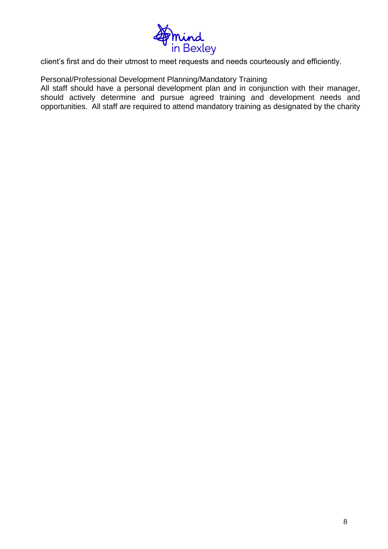

client's first and do their utmost to meet requests and needs courteously and efficiently.

Personal/Professional Development Planning/Mandatory Training

All staff should have a personal development plan and in conjunction with their manager, should actively determine and pursue agreed training and development needs and opportunities. All staff are required to attend mandatory training as designated by the charity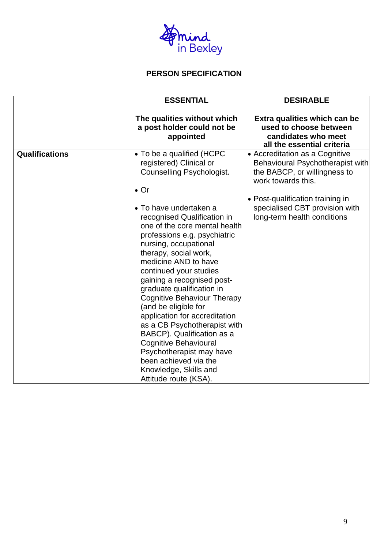

# **PERSON SPECIFICATION**

|                       | <b>ESSENTIAL</b>                                                                                                                                                                                                                                                                                                                                                                                                                                                                                                                                                                                                                                                                                      | <b>DESIRABLE</b>                                                                                                                                                                                                              |
|-----------------------|-------------------------------------------------------------------------------------------------------------------------------------------------------------------------------------------------------------------------------------------------------------------------------------------------------------------------------------------------------------------------------------------------------------------------------------------------------------------------------------------------------------------------------------------------------------------------------------------------------------------------------------------------------------------------------------------------------|-------------------------------------------------------------------------------------------------------------------------------------------------------------------------------------------------------------------------------|
|                       | The qualities without which<br>a post holder could not be<br>appointed                                                                                                                                                                                                                                                                                                                                                                                                                                                                                                                                                                                                                                | Extra qualities which can be<br>used to choose between<br>candidates who meet<br>all the essential criteria                                                                                                                   |
| <b>Qualifications</b> | • To be a qualified (HCPC<br>registered) Clinical or<br><b>Counselling Psychologist.</b><br>$\bullet$ Or<br>• To have undertaken a<br>recognised Qualification in<br>one of the core mental health<br>professions e.g. psychiatric<br>nursing, occupational<br>therapy, social work,<br>medicine AND to have<br>continued your studies<br>gaining a recognised post-<br>graduate qualification in<br><b>Cognitive Behaviour Therapy</b><br>(and be eligible for<br>application for accreditation<br>as a CB Psychotherapist with<br>BABCP). Qualification as a<br><b>Cognitive Behavioural</b><br>Psychotherapist may have<br>been achieved via the<br>Knowledge, Skills and<br>Attitude route (KSA). | • Accreditation as a Cognitive<br>Behavioural Psychotherapist with<br>the BABCP, or willingness to<br>work towards this.<br>• Post-qualification training in<br>specialised CBT provision with<br>long-term health conditions |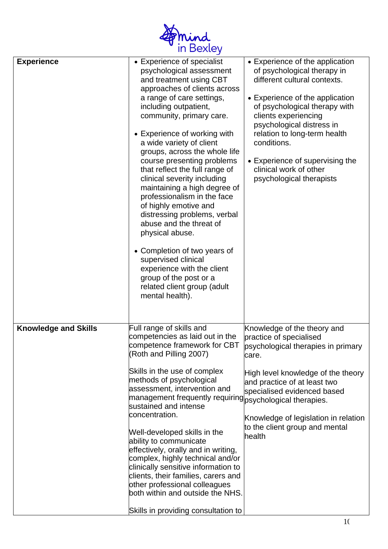

| <b>Experience</b>           | • Experience of specialist<br>psychological assessment<br>and treatment using CBT<br>approaches of clients across<br>a range of care settings,<br>including outpatient,<br>community, primary care.<br>• Experience of working with<br>a wide variety of client<br>groups, across the whole life<br>course presenting problems<br>that reflect the full range of<br>clinical severity including<br>maintaining a high degree of<br>professionalism in the face<br>of highly emotive and<br>distressing problems, verbal<br>abuse and the threat of<br>physical abuse.<br>• Completion of two years of<br>supervised clinical<br>experience with the client<br>group of the post or a<br>related client group (adult<br>mental health). | • Experience of the application<br>of psychological therapy in<br>different cultural contexts.<br>• Experience of the application<br>of psychological therapy with<br>clients experiencing<br>psychological distress in<br>relation to long-term health<br>conditions.<br>• Experience of supervising the<br>clinical work of other<br>psychological therapists |
|-----------------------------|----------------------------------------------------------------------------------------------------------------------------------------------------------------------------------------------------------------------------------------------------------------------------------------------------------------------------------------------------------------------------------------------------------------------------------------------------------------------------------------------------------------------------------------------------------------------------------------------------------------------------------------------------------------------------------------------------------------------------------------|-----------------------------------------------------------------------------------------------------------------------------------------------------------------------------------------------------------------------------------------------------------------------------------------------------------------------------------------------------------------|
| <b>Knowledge and Skills</b> | Full range of skills and<br>competencies as laid out in the<br>competence framework for CBT<br>(Roth and Pilling 2007)<br>Skills in the use of complex<br>methods of psychological<br>assessment, intervention and<br>management frequently requiring psychological therapies.<br>sustained and intense<br>concentration.<br>Well-developed skills in the<br>ability to communicate<br>effectively, orally and in writing,<br>complex, highly technical and/or<br>clinically sensitive information to<br>clients, their families, carers and<br>other professional colleagues<br>both within and outside the NHS.<br>Skills in providing consultation to                                                                               | Knowledge of the theory and<br>practice of specialised<br>psychological therapies in primary<br>care.<br>High level knowledge of the theory<br>and practice of at least two<br>specialised evidenced based<br>Knowledge of legislation in relation<br>to the client group and mental<br>health                                                                  |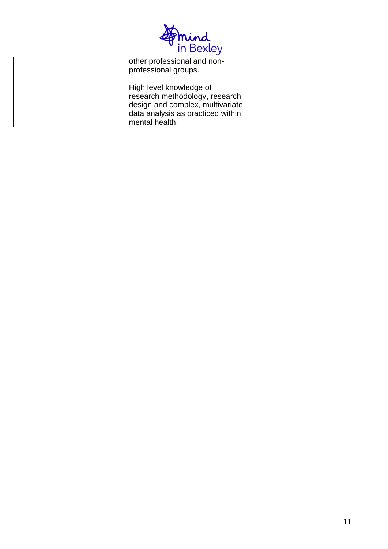

| other professional and non-<br>professional groups.                                                                                                  |  |
|------------------------------------------------------------------------------------------------------------------------------------------------------|--|
| High level knowledge of<br>research methodology, research<br>design and complex, multivariate<br>data analysis as practiced within<br>mental health. |  |